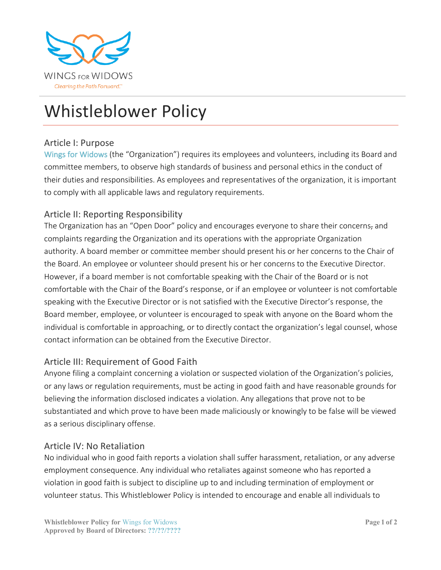

# Whistleblower Policy

#### Article I: Purpose

Wings for Widows (the "Organization") requires its employees and volunteers, including its Board and committee members, to observe high standards of business and personal ethics in the conduct of their duties and responsibilities. As employees and representatives of the organization, it is important to comply with all applicable laws and regulatory requirements.

## Article II: Reporting Responsibility

The Organization has an "Open Door" policy and encourages everyone to share their concerns, and complaints regarding the Organization and its operations with the appropriate Organization authority. A board member or committee member should present his or her concerns to the Chair of the Board. An employee or volunteer should present his or her concerns to the Executive Director. However, if a board member is not comfortable speaking with the Chair of the Board or is not comfortable with the Chair of the Board's response, or if an employee or volunteer is not comfortable speaking with the Executive Director or is not satisfied with the Executive Director's response, the Board member, employee, or volunteer is encouraged to speak with anyone on the Board whom the individual is comfortable in approaching, or to directly contact the organization's legal counsel, whose contact information can be obtained from the Executive Director.

### Article III: Requirement of Good Faith

Anyone filing a complaint concerning a violation or suspected violation of the Organization's policies, or any laws or regulation requirements, must be acting in good faith and have reasonable grounds for believing the information disclosed indicates a violation. Any allegations that prove not to be substantiated and which prove to have been made maliciously or knowingly to be false will be viewed as a serious disciplinary offense.

### Article IV: No Retaliation

No individual who in good faith reports a violation shall suffer harassment, retaliation, or any adverse employment consequence. Any individual who retaliates against someone who has reported a violation in good faith is subject to discipline up to and including termination of employment or volunteer status. This Whistleblower Policy is intended to encourage and enable all individuals to